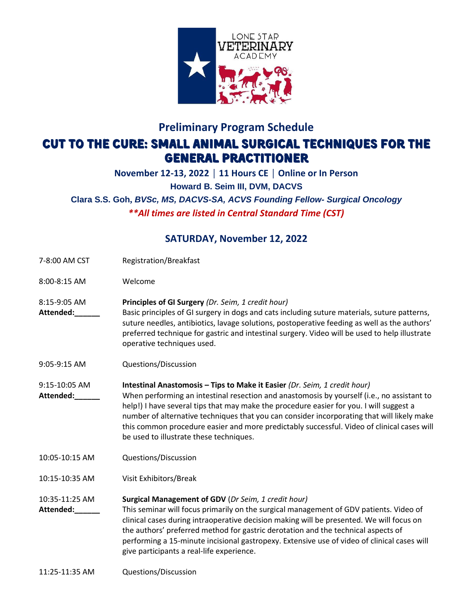

# **Preliminary Program Schedule** Cut to the cure: small animal surgical techniques for the general practitioner

#### **November 12-13, 2022 │ 11 Hours CE │ Online or In Person Howard B. Seim III, DVM, DACVS Clara S.S. Goh,** *BVSc, MS, DACVS-SA, ACVS Founding Fellow- Surgical Oncology \*\*All times are listed in Central Standard Time (CST)*

### **SATURDAY, November 12, 2022**

- 7-8:00 AM CST Registration/Breakfast
- 8:00-8:15 AM Welcome
- 8:15-9:05 AM **Principles of GI Surgery** *(Dr. Seim, 1 credit hour)*
- **Attended:\_\_\_\_\_\_** Basic principles of GI surgery in dogs and cats including suture materials, suture patterns, suture needles, antibiotics, lavage solutions, postoperative feeding as well as the authors' preferred technique for gastric and intestinal surgery. Video will be used to help illustrate operative techniques used.
- 9:05-9:15 AM Questions/Discussion
- 9:15-10:05 AM **Intestinal Anastomosis – Tips to Make it Easier** *(Dr. Seim, 1 credit hour)* **Attended:\_\_\_\_\_\_** When performing an intestinal resection and anastomosis by yourself (i.e., no assistant to help!) I have several tips that may make the procedure easier for you. I will suggest a number of alternative techniques that you can consider incorporating that will likely make this common procedure easier and more predictably successful. Video of clinical cases will be used to illustrate these techniques.
- 10:05-10:15 AM Questions/Discussion
- 10:15-10:35 AM Visit Exhibitors/Break

#### 10:35-11:25 AM **Surgical Management of GDV** (*Dr Seim, 1 credit hour)*

**Attended:\_\_\_\_\_\_** This seminar will focus primarily on the surgical management of GDV patients. Video of clinical cases during intraoperative decision making will be presented. We will focus on the authors' preferred method for gastric derotation and the technical aspects of performing a 15-minute incisional gastropexy. Extensive use of video of clinical cases will give participants a real-life experience.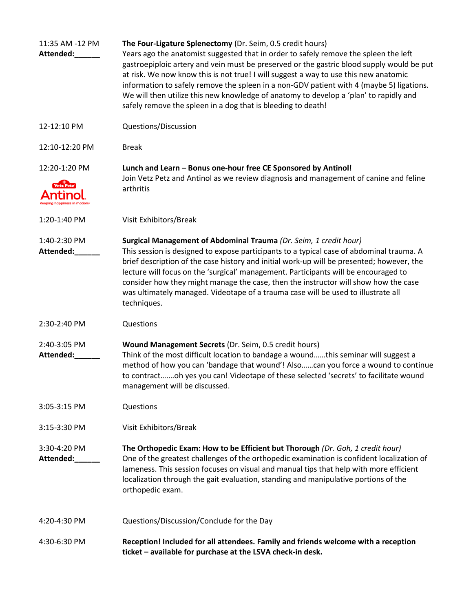| 11:35 AM -12 PM<br>Attended: | The Four-Ligature Splenectomy (Dr. Seim, 0.5 credit hours)<br>Years ago the anatomist suggested that in order to safely remove the spleen the left<br>gastroepiploic artery and vein must be preserved or the gastric blood supply would be put<br>at risk. We now know this is not true! I will suggest a way to use this new anatomic<br>information to safely remove the spleen in a non-GDV patient with 4 (maybe 5) ligations.<br>We will then utilize this new knowledge of anatomy to develop a 'plan' to rapidly and<br>safely remove the spleen in a dog that is bleeding to death! |
|------------------------------|----------------------------------------------------------------------------------------------------------------------------------------------------------------------------------------------------------------------------------------------------------------------------------------------------------------------------------------------------------------------------------------------------------------------------------------------------------------------------------------------------------------------------------------------------------------------------------------------|
| 12-12:10 PM                  | Questions/Discussion                                                                                                                                                                                                                                                                                                                                                                                                                                                                                                                                                                         |
| 12:10-12:20 PM               | <b>Break</b>                                                                                                                                                                                                                                                                                                                                                                                                                                                                                                                                                                                 |
| 12:20-1:20 PM<br>Vetz Petz   | Lunch and Learn - Bonus one-hour free CE Sponsored by Antinol!<br>Join Vetz Petz and Antinol as we review diagnosis and management of canine and feline<br>arthritis                                                                                                                                                                                                                                                                                                                                                                                                                         |
| 1:20-1:40 PM                 | Visit Exhibitors/Break                                                                                                                                                                                                                                                                                                                                                                                                                                                                                                                                                                       |
| 1:40-2:30 PM<br>Attended:    | Surgical Management of Abdominal Trauma (Dr. Seim, 1 credit hour)<br>This session is designed to expose participants to a typical case of abdominal trauma. A<br>brief description of the case history and initial work-up will be presented; however, the<br>lecture will focus on the 'surgical' management. Participants will be encouraged to<br>consider how they might manage the case, then the instructor will show how the case<br>was ultimately managed. Videotape of a trauma case will be used to illustrate all<br>techniques.                                                 |
| 2:30-2:40 PM                 | Questions                                                                                                                                                                                                                                                                                                                                                                                                                                                                                                                                                                                    |
| 2:40-3:05 PM<br>Attended:    | Wound Management Secrets (Dr. Seim, 0.5 credit hours)<br>Think of the most difficult location to bandage a woundthis seminar will suggest a<br>method of how you can 'bandage that wound'! Alsocan you force a wound to continue<br>to contractoh yes you can! Videotape of these selected 'secrets' to facilitate wound<br>management will be discussed.                                                                                                                                                                                                                                    |
| 3:05-3:15 PM                 | Questions                                                                                                                                                                                                                                                                                                                                                                                                                                                                                                                                                                                    |
| 3:15-3:30 PM                 | Visit Exhibitors/Break                                                                                                                                                                                                                                                                                                                                                                                                                                                                                                                                                                       |
| 3:30-4:20 PM<br>Attended:    | The Orthopedic Exam: How to be Efficient but Thorough (Dr. Goh, 1 credit hour)<br>One of the greatest challenges of the orthopedic examination is confident localization of<br>lameness. This session focuses on visual and manual tips that help with more efficient<br>localization through the gait evaluation, standing and manipulative portions of the<br>orthopedic exam.                                                                                                                                                                                                             |
| 4:20-4:30 PM                 | Questions/Discussion/Conclude for the Day                                                                                                                                                                                                                                                                                                                                                                                                                                                                                                                                                    |
| 4:30-6:30 PM                 | Reception! Included for all attendees. Family and friends welcome with a reception<br>ticket - available for purchase at the LSVA check-in desk.                                                                                                                                                                                                                                                                                                                                                                                                                                             |